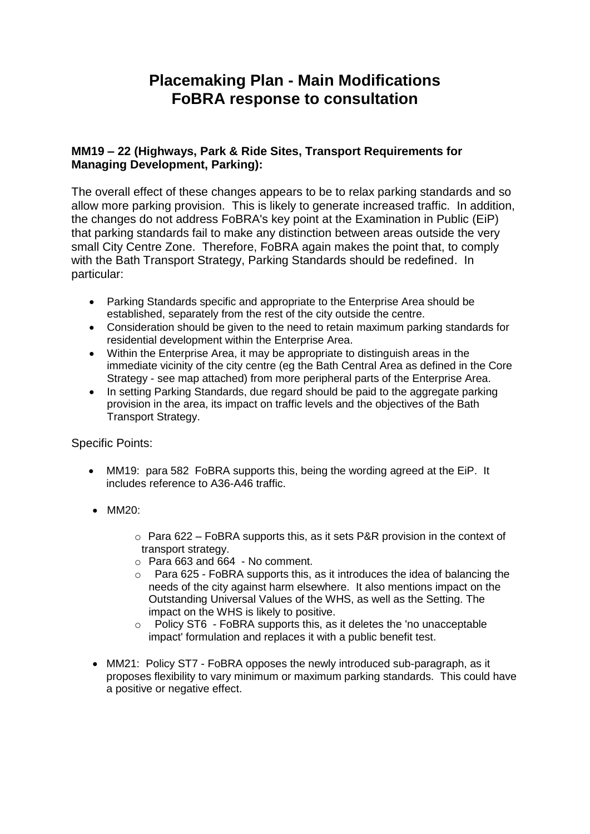# **Placemaking Plan - Main Modifications FoBRA response to consultation**

### **MM19 – 22 (Highways, Park & Ride Sites, Transport Requirements for Managing Development, Parking):**

The overall effect of these changes appears to be to relax parking standards and so allow more parking provision. This is likely to generate increased traffic. In addition, the changes do not address FoBRA's key point at the Examination in Public (EiP) that parking standards fail to make any distinction between areas outside the very small City Centre Zone. Therefore, FoBRA again makes the point that, to comply with the Bath Transport Strategy, Parking Standards should be redefined. In particular:

- Parking Standards specific and appropriate to the Enterprise Area should be established, separately from the rest of the city outside the centre.
- Consideration should be given to the need to retain maximum parking standards for residential development within the Enterprise Area.
- Within the Enterprise Area, it may be appropriate to distinguish areas in the immediate vicinity of the city centre (eg the Bath Central Area as defined in the Core Strategy - see map attached) from more peripheral parts of the Enterprise Area.
- In setting Parking Standards, due regard should be paid to the aggregate parking provision in the area, its impact on traffic levels and the objectives of the Bath Transport Strategy.

#### Specific Points:

- MM19: para 582 FoBRA supports this, being the wording agreed at the EiP. It includes reference to A36-A46 traffic.
- MM20:
	- $\circ$  Para 622 FoBRA supports this, as it sets P&R provision in the context of transport strategy.
	- $\circ$  Para 663 and 664 No comment.
	- $\circ$  Para 625 FoBRA supports this, as it introduces the idea of balancing the needs of the city against harm elsewhere. It also mentions impact on the Outstanding Universal Values of the WHS, as well as the Setting. The impact on the WHS is likely to positive.
	- o Policy ST6 FoBRA supports this, as it deletes the 'no unacceptable impact' formulation and replaces it with a public benefit test.
- MM21: Policy ST7 FoBRA opposes the newly introduced sub-paragraph, as it proposes flexibility to vary minimum or maximum parking standards. This could have a positive or negative effect.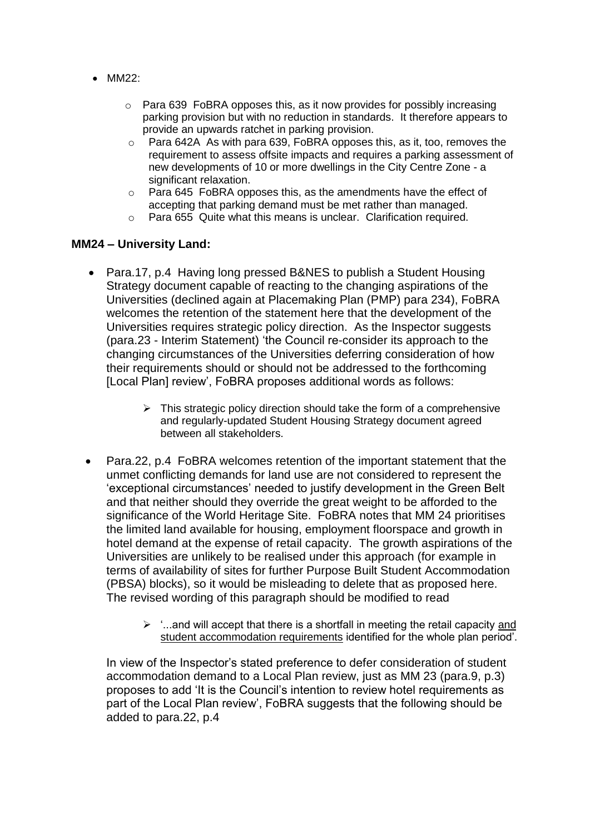- MM22:
	- $\circ$  Para 639 FoBRA opposes this, as it now provides for possibly increasing parking provision but with no reduction in standards. It therefore appears to provide an upwards ratchet in parking provision.
	- $\circ$  Para 642A As with para 639, FoBRA opposes this, as it, too, removes the requirement to assess offsite impacts and requires a parking assessment of new developments of 10 or more dwellings in the City Centre Zone - a significant relaxation.
	- o Para 645 FoBRA opposes this, as the amendments have the effect of accepting that parking demand must be met rather than managed.
	- o Para 655 Quite what this means is unclear. Clarification required.

#### **MM24 – University Land:**

- Para.17, p.4 Having long pressed B&NES to publish a Student Housing Strategy document capable of reacting to the changing aspirations of the Universities (declined again at Placemaking Plan (PMP) para 234), FoBRA welcomes the retention of the statement here that the development of the Universities requires strategic policy direction. As the Inspector suggests (para.23 - Interim Statement) 'the Council re-consider its approach to the changing circumstances of the Universities deferring consideration of how their requirements should or should not be addressed to the forthcoming [Local Plan] review', FoBRA proposes additional words as follows:
	- $\triangleright$  This strategic policy direction should take the form of a comprehensive and regularly-updated Student Housing Strategy document agreed between all stakeholders.
- Para.22, p.4 FoBRA welcomes retention of the important statement that the unmet conflicting demands for land use are not considered to represent the 'exceptional circumstances' needed to justify development in the Green Belt and that neither should they override the great weight to be afforded to the significance of the World Heritage Site. FoBRA notes that MM 24 prioritises the limited land available for housing, employment floorspace and growth in hotel demand at the expense of retail capacity. The growth aspirations of the Universities are unlikely to be realised under this approach (for example in terms of availability of sites for further Purpose Built Student Accommodation (PBSA) blocks), so it would be misleading to delete that as proposed here. The revised wording of this paragraph should be modified to read
	- $\triangleright$  '...and will accept that there is a shortfall in meeting the retail capacity and student accommodation requirements identified for the whole plan period'.

In view of the Inspector's stated preference to defer consideration of student accommodation demand to a Local Plan review, just as MM 23 (para.9, p.3) proposes to add 'It is the Council's intention to review hotel requirements as part of the Local Plan review', FoBRA suggests that the following should be added to para.22, p.4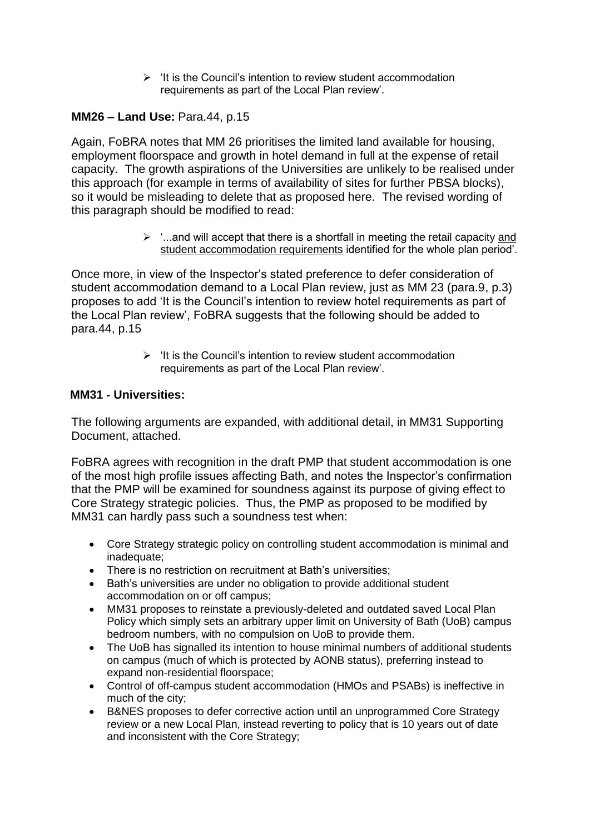$\triangleright$  'It is the Council's intention to review student accommodation requirements as part of the Local Plan review'.

## **MM26 – Land Use:** Para.44, p.15

Again, FoBRA notes that MM 26 prioritises the limited land available for housing, employment floorspace and growth in hotel demand in full at the expense of retail capacity. The growth aspirations of the Universities are unlikely to be realised under this approach (for example in terms of availability of sites for further PBSA blocks), so it would be misleading to delete that as proposed here. The revised wording of this paragraph should be modified to read:

> $\geq$   $\ldots$  and will accept that there is a shortfall in meeting the retail capacity and student accommodation requirements identified for the whole plan period'.

Once more, in view of the Inspector's stated preference to defer consideration of student accommodation demand to a Local Plan review, just as MM 23 (para.9, p.3) proposes to add 'It is the Council's intention to review hotel requirements as part of the Local Plan review', FoBRA suggests that the following should be added to para.44, p.15

> $\triangleright$  'It is the Council's intention to review student accommodation requirements as part of the Local Plan review'.

#### **MM31 - Universities:**

The following arguments are expanded, with additional detail, in MM31 Supporting Document, attached.

FoBRA agrees with recognition in the draft PMP that student accommodation is one of the most high profile issues affecting Bath, and notes the Inspector's confirmation that the PMP will be examined for soundness against its purpose of giving effect to Core Strategy strategic policies. Thus, the PMP as proposed to be modified by MM31 can hardly pass such a soundness test when:

- Core Strategy strategic policy on controlling student accommodation is minimal and inadequate;
- There is no restriction on recruitment at Bath's universities:
- Bath's universities are under no obligation to provide additional student accommodation on or off campus;
- MM31 proposes to reinstate a previously-deleted and outdated saved Local Plan Policy which simply sets an arbitrary upper limit on University of Bath (UoB) campus bedroom numbers, with no compulsion on UoB to provide them.
- The UoB has signalled its intention to house minimal numbers of additional students on campus (much of which is protected by AONB status), preferring instead to expand non-residential floorspace;
- Control of off-campus student accommodation (HMOs and PSABs) is ineffective in much of the city;
- B&NES proposes to defer corrective action until an unprogrammed Core Strategy review or a new Local Plan, instead reverting to policy that is 10 years out of date and inconsistent with the Core Strategy;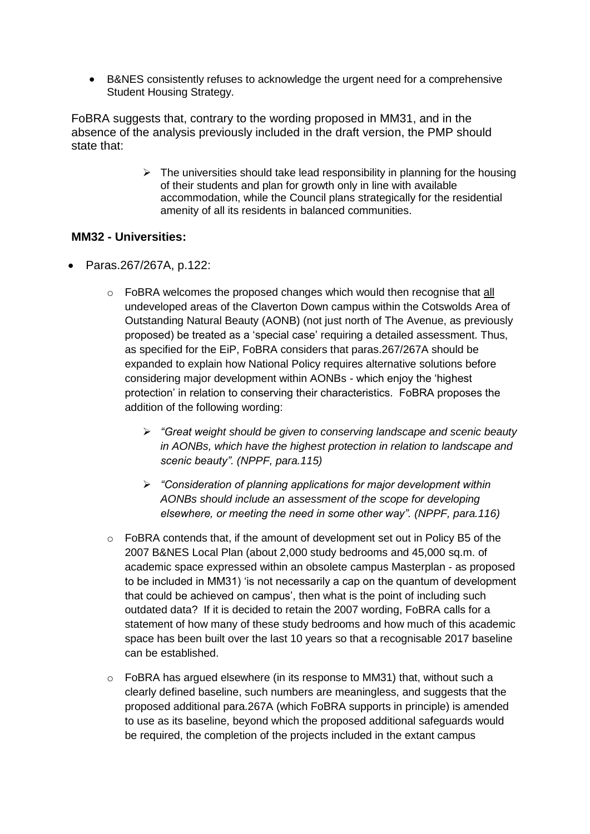B&NES consistently refuses to acknowledge the urgent need for a comprehensive Student Housing Strategy.

FoBRA suggests that, contrary to the wording proposed in MM31, and in the absence of the analysis previously included in the draft version, the PMP should state that:

> $\triangleright$  The universities should take lead responsibility in planning for the housing of their students and plan for growth only in line with available accommodation, while the Council plans strategically for the residential amenity of all its residents in balanced communities.

#### **MM32 - Universities:**

- Paras.267/267A, p.122:
	- $\circ$  FoBRA welcomes the proposed changes which would then recognise that all undeveloped areas of the Claverton Down campus within the Cotswolds Area of Outstanding Natural Beauty (AONB) (not just north of The Avenue, as previously proposed) be treated as a 'special case' requiring a detailed assessment. Thus, as specified for the EiP, FoBRA considers that paras.267/267A should be expanded to explain how National Policy requires alternative solutions before considering major development within AONBs - which enjoy the 'highest protection' in relation to conserving their characteristics. FoBRA proposes the addition of the following wording:
		- *"Great weight should be given to conserving landscape and scenic beauty in AONBs, which have the highest protection in relation to landscape and scenic beauty". (NPPF, para.115)*
		- *"Consideration of planning applications for major development within AONBs should include an assessment of the scope for developing elsewhere, or meeting the need in some other way". (NPPF, para.116)*
	- o FoBRA contends that, if the amount of development set out in Policy B5 of the 2007 B&NES Local Plan (about 2,000 study bedrooms and 45,000 sq.m. of academic space expressed within an obsolete campus Masterplan - as proposed to be included in MM31) 'is not necessarily a cap on the quantum of development that could be achieved on campus', then what is the point of including such outdated data? If it is decided to retain the 2007 wording, FoBRA calls for a statement of how many of these study bedrooms and how much of this academic space has been built over the last 10 years so that a recognisable 2017 baseline can be established.
	- $\circ$  FoBRA has argued elsewhere (in its response to MM31) that, without such a clearly defined baseline, such numbers are meaningless, and suggests that the proposed additional para.267A (which FoBRA supports in principle) is amended to use as its baseline, beyond which the proposed additional safeguards would be required, the completion of the projects included in the extant campus